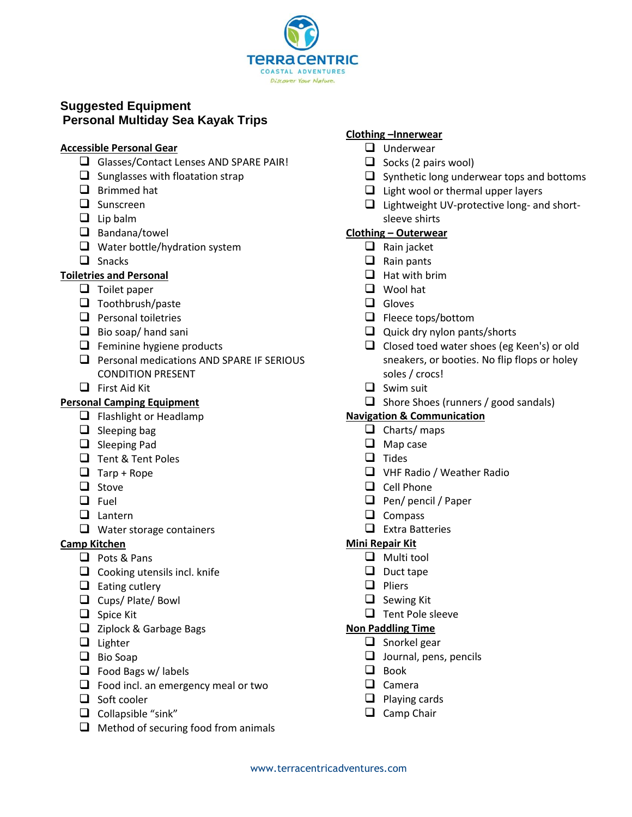

# **Suggested Equipment Personal Multiday Sea Kayak Trips**

## **Accessible Personal Gear**

- ❑ Glasses/Contact Lenses AND SPARE PAIR!
- $\Box$  Sunglasses with floatation strap
- ❑ Brimmed hat
- ❑ Sunscreen
- ❑ Lip balm
- ❑ Bandana/towel
- ❑ Water bottle/hydration system
- ❑ Snacks

# **Toiletries and Personal**

- ❑ Toilet paper
- ❑ Toothbrush/paste
- ❑ Personal toiletries
- ❑ Bio soap/ hand sani
- ❑ Feminine hygiene products
- ❑ Personal medications AND SPARE IF SERIOUS CONDITION PRESENT
- ❑ First Aid Kit

# **Personal Camping Equipment**

- ❑ Flashlight or Headlamp
- $\Box$  Sleeping bag
- ❑ Sleeping Pad
- ❑ Tent & Tent Poles
- $\Box$  Tarp + Rope
- ❑ Stove
- ❑ Fuel
- ❑ Lantern
- ❑ Water storage containers

# **Camp Kitchen**

- ❑ Pots & Pans
- ❑ Cooking utensils incl. knife
- ❑ Eating cutlery
- ❑ Cups/ Plate/ Bowl
- ❑ Spice Kit
- ❑ Ziplock & Garbage Bags
- ❑ Lighter
- ❑ Bio Soap
- ❑ Food Bags w/ labels
- □ Food incl. an emergency meal or two
- ❑ Soft cooler
- ❑ Collapsible "sink"
- ❑ Method of securing food from animals

## **Clothing –Innerwear**

- ❑ Underwear
- $\Box$  Socks (2 pairs wool)
- ❑ Synthetic long underwear tops and bottoms
- ❑ Light wool or thermal upper layers
- ❑ Lightweight UV-protective long- and shortsleeve shirts

## **Clothing – Outerwear**

- ❑ Rain jacket
- ❑ Rain pants
- $\Box$  Hat with brim
- ❑ Wool hat
- ❑ Gloves
- ❑ Fleece tops/bottom
- ❑ Quick dry nylon pants/shorts
- ❑ Closed toed water shoes (eg Keen's) or old sneakers, or booties. No flip flops or holey soles / crocs!
- ❑ Swim suit
- ❑ Shore Shoes (runners / good sandals)

#### **Navigation & Communication**

- ❑ Charts/ maps
- ❑ Map case
- ❑ Tides
- ❑ VHF Radio / Weather Radio
- ❑ Cell Phone
- ❑ Pen/ pencil / Paper
- ❑ Compass
- ❑ Extra Batteries

#### **Mini Repair Kit**

- ❑ Multi tool
- ❑ Duct tape
- ❑ Pliers
- ❑ Sewing Kit
- ❑ Tent Pole sleeve

#### **Non Paddling Time**

- ❑ Snorkel gear
- ❑ Journal, pens, pencils
- ❑ Book
- ❑ Camera
- ❑ Playing cards
- ❑ Camp Chair